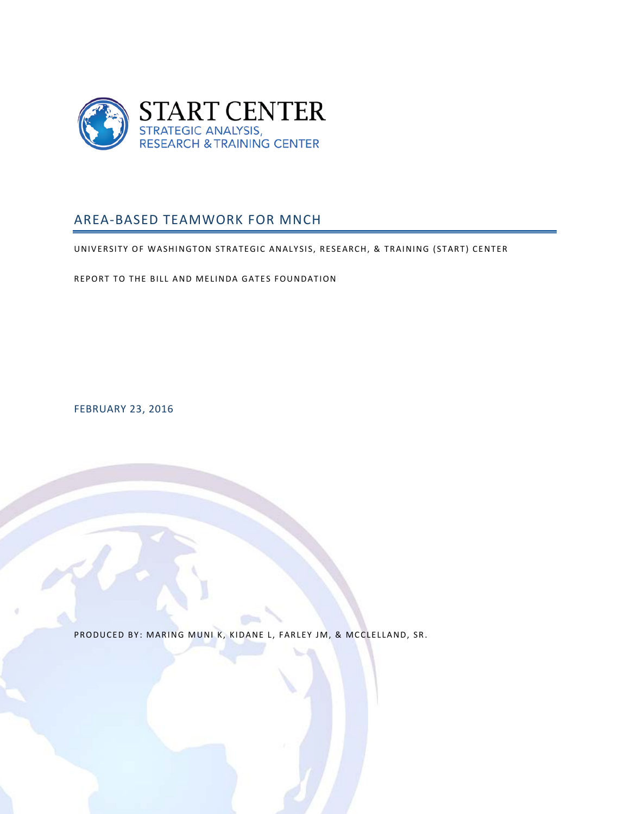

# <span id="page-0-0"></span>AREA-BASED TEAMWORK FOR MNCH

UNIVERSITY OF WASHINGTON STRATEGIC ANALYSIS, RESEARCH, & TRAINING ( START) CENTER

REPORT TO THE BILL AND MELINDA GATES FOUNDATION

FEBRUARY 23, 2016

PRODUCED BY: MARING MUNI K, KIDANE L, FARLEY JM, & MCCLELLAND, SR.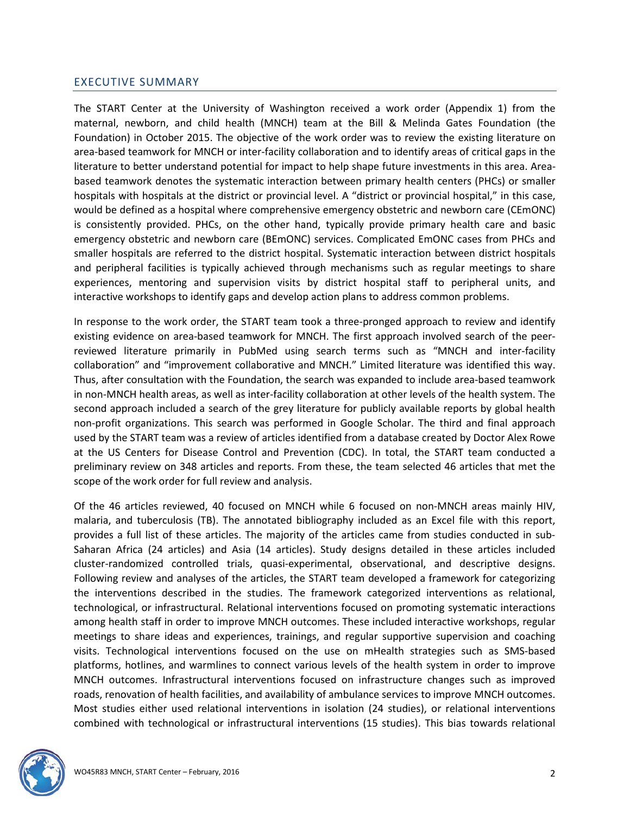### <span id="page-1-0"></span>EXECUTIVE SUMMARY

The START Center at the University of Washington received a work order (Appendix 1) from the maternal, newborn, and child health (MNCH) team at the Bill & Melinda Gates Foundation (the Foundation) in October 2015. The objective of the work order was to review the existing literature on area-based teamwork for MNCH or inter-facility collaboration and to identify areas of critical gaps in the literature to better understand potential for impact to help shape future investments in this area. Areabased teamwork denotes the systematic interaction between primary health centers (PHCs) or smaller hospitals with hospitals at the district or provincial level. A "district or provincial hospital," in this case, would be defined as a hospital where comprehensive emergency obstetric and newborn care (CEmONC) is consistently provided. PHCs, on the other hand, typically provide primary health care and basic emergency obstetric and newborn care (BEmONC) services. Complicated EmONC cases from PHCs and smaller hospitals are referred to the district hospital. Systematic interaction between district hospitals and peripheral facilities is typically achieved through mechanisms such as regular meetings to share experiences, mentoring and supervision visits by district hospital staff to peripheral units, and interactive workshops to identify gaps and develop action plans to address common problems.

In response to the work order, the START team took a three-pronged approach to review and identify existing evidence on area-based teamwork for MNCH. The first approach involved search of the peerreviewed literature primarily in PubMed using search terms such as "MNCH and inter-facility collaboration" and "improvement collaborative and MNCH." Limited literature was identified this way. Thus, after consultation with the Foundation, the search was expanded to include area-based teamwork in non-MNCH health areas, as well as inter-facility collaboration at other levels of the health system. The second approach included a search of the grey literature for publicly available reports by global health non-profit organizations. This search was performed in Google Scholar. The third and final approach used by the START team was a review of articles identified from a database created by Doctor Alex Rowe at the US Centers for Disease Control and Prevention (CDC). In total, the START team conducted a preliminary review on 348 articles and reports. From these, the team selected 46 articles that met the scope of the work order for full review and analysis.

Of the 46 articles reviewed, 40 focused on MNCH while 6 focused on non-MNCH areas mainly HIV, malaria, and tuberculosis (TB). The annotated bibliography included as an Excel file with this report, provides a full list of these articles. The majority of the articles came from studies conducted in sub-Saharan Africa (24 articles) and Asia (14 articles). Study designs detailed in these articles included cluster-randomized controlled trials, quasi-experimental, observational, and descriptive designs. Following review and analyses of the articles, the START team developed a framework for categorizing the interventions described in the studies. The framework categorized interventions as relational, technological, or infrastructural. Relational interventions focused on promoting systematic interactions among health staff in order to improve MNCH outcomes. These included interactive workshops, regular meetings to share ideas and experiences, trainings, and regular supportive supervision and coaching visits. Technological interventions focused on the use on mHealth strategies such as SMS-based platforms, hotlines, and warmlines to connect various levels of the health system in order to improve MNCH outcomes. Infrastructural interventions focused on infrastructure changes such as improved roads, renovation of health facilities, and availability of ambulance services to improve MNCH outcomes. Most studies either used relational interventions in isolation (24 studies), or relational interventions combined with technological or infrastructural interventions (15 studies). This bias towards relational

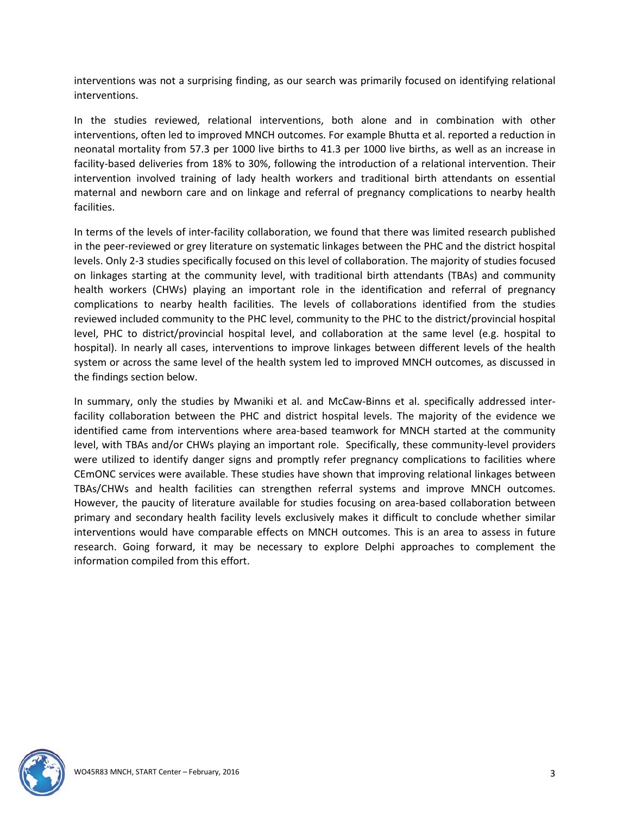interventions was not a surprising finding, as our search was primarily focused on identifying relational interventions.

In the studies reviewed, relational interventions, both alone and in combination with other interventions, often led to improved MNCH outcomes. For example Bhutta et al. reported a reduction in neonatal mortality from 57.3 per 1000 live births to 41.3 per 1000 live births, as well as an increase in facility-based deliveries from 18% to 30%, following the introduction of a relational intervention. Their intervention involved training of lady health workers and traditional birth attendants on essential maternal and newborn care and on linkage and referral of pregnancy complications to nearby health facilities.

In terms of the levels of inter-facility collaboration, we found that there was limited research published in the peer-reviewed or grey literature on systematic linkages between the PHC and the district hospital levels. Only 2-3 studies specifically focused on this level of collaboration. The majority of studies focused on linkages starting at the community level, with traditional birth attendants (TBAs) and community health workers (CHWs) playing an important role in the identification and referral of pregnancy complications to nearby health facilities. The levels of collaborations identified from the studies reviewed included community to the PHC level, community to the PHC to the district/provincial hospital level, PHC to district/provincial hospital level, and collaboration at the same level (e.g. hospital to hospital). In nearly all cases, interventions to improve linkages between different levels of the health system or across the same level of the health system led to improved MNCH outcomes, as discussed in the findings section below.

In summary, only the studies by Mwaniki et al. and McCaw-Binns et al. specifically addressed interfacility collaboration between the PHC and district hospital levels. The majority of the evidence we identified came from interventions where area-based teamwork for MNCH started at the community level, with TBAs and/or CHWs playing an important role. Specifically, these community-level providers were utilized to identify danger signs and promptly refer pregnancy complications to facilities where CEmONC services were available. These studies have shown that improving relational linkages between TBAs/CHWs and health facilities can strengthen referral systems and improve MNCH outcomes. However, the paucity of literature available for studies focusing on area-based collaboration between primary and secondary health facility levels exclusively makes it difficult to conclude whether similar interventions would have comparable effects on MNCH outcomes. This is an area to assess in future research. Going forward, it may be necessary to explore Delphi approaches to complement the information compiled from this effort.

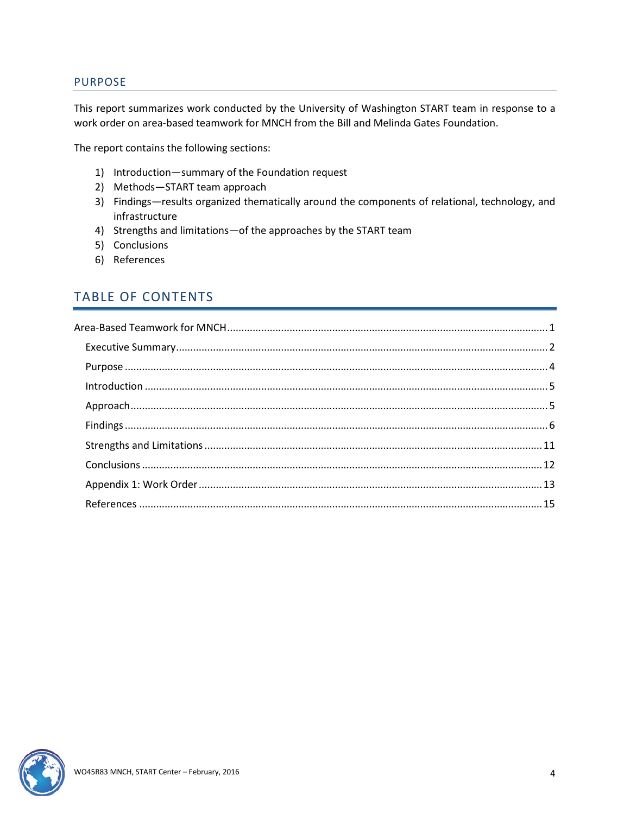#### <span id="page-3-0"></span>PURPOSE

This report summarizes work conducted by the University of Washington START team in response to a work order on area-based teamwork for MNCH from the Bill and Melinda Gates Foundation.

The report contains the following sections:

- 1) Introduction—summary of the Foundation request
- 2) Methods—START team approach
- 3) Findings—results organized thematically around the components of relational, technology, and infrastructure
- 4) Strengths and limitations—of the approaches by the START team
- 5) Conclusions
- 6) References

# TABLE OF CONTENTS

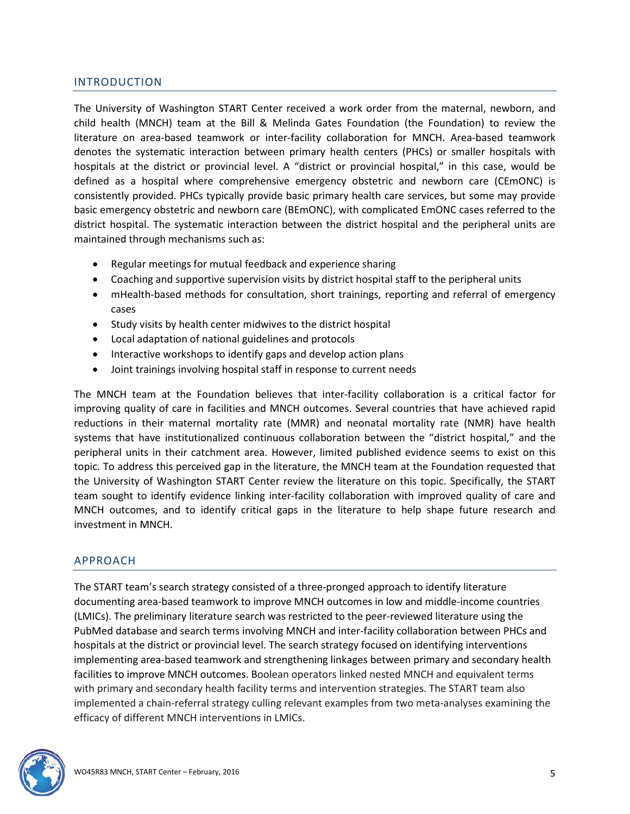# <span id="page-4-0"></span>INTRODUCTION

The University of Washington START Center received a work order from the maternal, newborn, and child health (MNCH) team at the Bill & Melinda Gates Foundation (the Foundation) to review the literature on area-based teamwork or inter-facility collaboration for MNCH. Area-based teamwork denotes the systematic interaction between primary health centers (PHCs) or smaller hospitals with hospitals at the district or provincial level. A "district or provincial hospital," in this case, would be defined as a hospital where comprehensive emergency obstetric and newborn care (CEmONC) is consistently provided. PHCs typically provide basic primary health care services, but some may provide basic emergency obstetric and newborn care (BEmONC), with complicated EmONC cases referred to the district hospital. The systematic interaction between the district hospital and the peripheral units are maintained through mechanisms such as:

- Regular meetings for mutual feedback and experience sharing
- Coaching and supportive supervision visits by district hospital staff to the peripheral units
- mHealth-based methods for consultation, short trainings, reporting and referral of emergency cases
- Study visits by health center midwives to the district hospital
- Local adaptation of national guidelines and protocols
- Interactive workshops to identify gaps and develop action plans
- Joint trainings involving hospital staff in response to current needs

The MNCH team at the Foundation believes that inter-facility collaboration is a critical factor for improving quality of care in facilities and MNCH outcomes. Several countries that have achieved rapid reductions in their maternal mortality rate (MMR) and neonatal mortality rate (NMR) have health systems that have institutionalized continuous collaboration between the "district hospital," and the peripheral units in their catchment area. However, limited published evidence seems to exist on this topic. To address this perceived gap in the literature, the MNCH team at the Foundation requested that the University of Washington START Center review the literature on this topic. Specifically, the START team sought to identify evidence linking inter-facility collaboration with improved quality of care and MNCH outcomes, and to identify critical gaps in the literature to help shape future research and investment in MNCH.

### <span id="page-4-1"></span>APPROACH

The START team's search strategy consisted of a three-pronged approach to identify literature documenting area-based teamwork to improve MNCH outcomes in low and middle-income countries (LMICs). The preliminary literature search was restricted to the peer-reviewed literature using the PubMed database and search terms involving MNCH and inter-facility collaboration between PHCs and hospitals at the district or provincial level. The search strategy focused on identifying interventions implementing area-based teamwork and strengthening linkages between primary and secondary health facilities to improve MNCH outcomes. Boolean operators linked nested MNCH and equivalent terms with primary and secondary health facility terms and intervention strategies. The START team also implemented a chain-referral strategy culling relevant examples from two meta-analyses examining the efficacy of different MNCH interventions in LMICs.

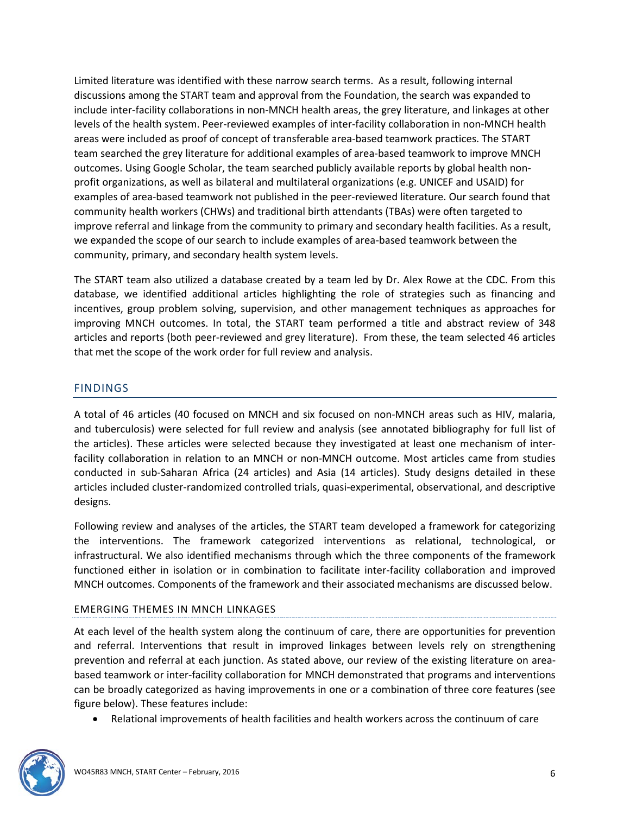Limited literature was identified with these narrow search terms. As a result, following internal discussions among the START team and approval from the Foundation, the search was expanded to include inter-facility collaborations in non-MNCH health areas, the grey literature, and linkages at other levels of the health system. Peer-reviewed examples of inter-facility collaboration in non-MNCH health areas were included as proof of concept of transferable area-based teamwork practices. The START team searched the grey literature for additional examples of area-based teamwork to improve MNCH outcomes. Using Google Scholar, the team searched publicly available reports by global health nonprofit organizations, as well as bilateral and multilateral organizations (e.g. UNICEF and USAID) for examples of area-based teamwork not published in the peer-reviewed literature. Our search found that community health workers (CHWs) and traditional birth attendants (TBAs) were often targeted to improve referral and linkage from the community to primary and secondary health facilities. As a result, we expanded the scope of our search to include examples of area-based teamwork between the community, primary, and secondary health system levels.

The START team also utilized a database created by a team led by Dr. Alex Rowe at the CDC. From this database, we identified additional articles highlighting the role of strategies such as financing and incentives, group problem solving, supervision, and other management techniques as approaches for improving MNCH outcomes. In total, the START team performed a title and abstract review of 348 articles and reports (both peer-reviewed and grey literature). From these, the team selected 46 articles that met the scope of the work order for full review and analysis.

# <span id="page-5-0"></span>FINDINGS

A total of 46 articles (40 focused on MNCH and six focused on non-MNCH areas such as HIV, malaria, and tuberculosis) were selected for full review and analysis (see annotated bibliography for full list of the articles). These articles were selected because they investigated at least one mechanism of interfacility collaboration in relation to an MNCH or non-MNCH outcome. Most articles came from studies conducted in sub-Saharan Africa (24 articles) and Asia (14 articles). Study designs detailed in these articles included cluster-randomized controlled trials, quasi-experimental, observational, and descriptive designs.

Following review and analyses of the articles, the START team developed a framework for categorizing the interventions. The framework categorized interventions as relational, technological, or infrastructural. We also identified mechanisms through which the three components of the framework functioned either in isolation or in combination to facilitate inter-facility collaboration and improved MNCH outcomes. Components of the framework and their associated mechanisms are discussed below.

#### EMERGING THEMES IN MNCH LINKAGES

At each level of the health system along the continuum of care, there are opportunities for prevention and referral. Interventions that result in improved linkages between levels rely on strengthening prevention and referral at each junction. As stated above, our review of the existing literature on areabased teamwork or inter-facility collaboration for MNCH demonstrated that programs and interventions can be broadly categorized as having improvements in one or a combination of three core features (see figure below). These features include:

• Relational improvements of health facilities and health workers across the continuum of care

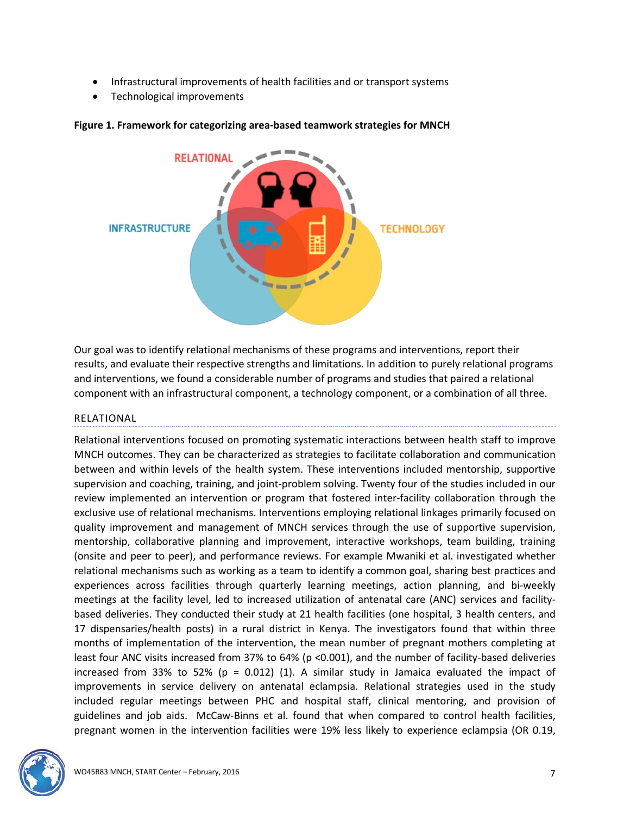- Infrastructural improvements of health facilities and or transport systems
- Technological improvements



#### **Figure 1. Framework for categorizing area-based teamwork strategies for MNCH**

Our goal was to identify relational mechanisms of these programs and interventions, report their results, and evaluate their respective strengths and limitations. In addition to purely relational programs and interventions, we found a considerable number of programs and studies that paired a relational component with an infrastructural component, a technology component, or a combination of all three.

#### RELATIONAL

Relational interventions focused on promoting systematic interactions between health staff to improve MNCH outcomes. They can be characterized as strategies to facilitate collaboration and communication between and within levels of the health system. These interventions included mentorship, supportive supervision and coaching, training, and joint-problem solving. Twenty four of the studies included in our review implemented an intervention or program that fostered inter-facility collaboration through the exclusive use of relational mechanisms. Interventions employing relational linkages primarily focused on quality improvement and management of MNCH services through the use of supportive supervision, mentorship, collaborative planning and improvement, interactive workshops, team building, training (onsite and peer to peer), and performance reviews. For example Mwaniki et al. investigated whether relational mechanisms such as working as a team to identify a common goal, sharing best practices and experiences across facilities through quarterly learning meetings, action planning, and bi-weekly meetings at the facility level, led to increased utilization of antenatal care (ANC) services and facilitybased deliveries. They conducted their study at 21 health facilities (one hospital, 3 health centers, and 17 dispensaries/health posts) in a rural district in Kenya. The investigators found that within three months of implementation of the intervention, the mean number of pregnant mothers completing at least four ANC visits increased from 37% to 64% (p <0.001), and the number of facility-based deliveries increased from 33% to 52% ( $p = 0.012$ ) (1). A similar study in Jamaica evaluated the impact of improvements in service delivery on antenatal eclampsia. Relational strategies used in the study included regular meetings between PHC and hospital staff, clinical mentoring, and provision of guidelines and job aids. McCaw-Binns et al. found that when compared to control health facilities, pregnant women in the intervention facilities were 19% less likely to experience eclampsia (OR 0.19,

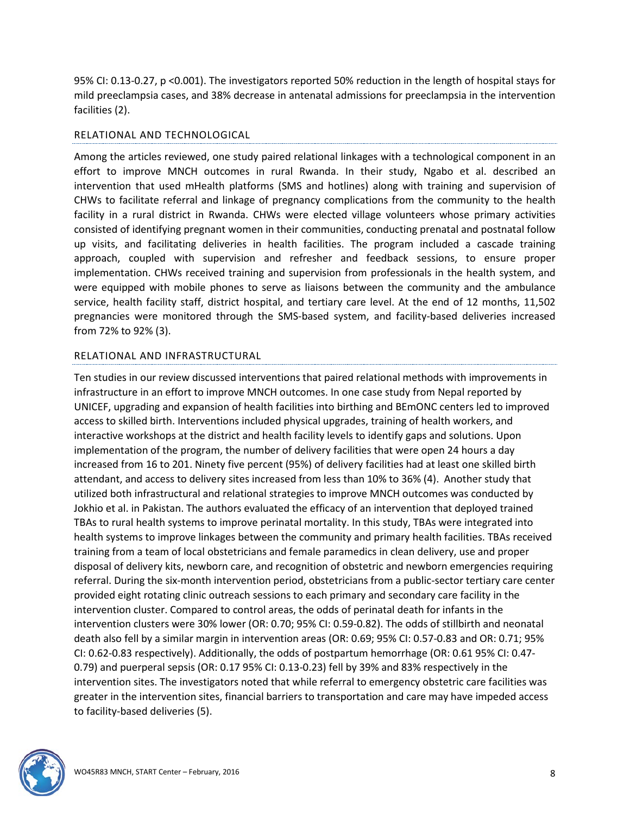95% CI: 0.13-0.27, p <0.001). The investigators reported 50% reduction in the length of hospital stays for mild preeclampsia cases, and 38% decrease in antenatal admissions for preeclampsia in the intervention facilities (2).

#### RELATIONAL AND TECHNOLOGICAL

Among the articles reviewed, one study paired relational linkages with a technological component in an effort to improve MNCH outcomes in rural Rwanda. In their study, Ngabo et al. described an intervention that used mHealth platforms (SMS and hotlines) along with training and supervision of CHWs to facilitate referral and linkage of pregnancy complications from the community to the health facility in a rural district in Rwanda. CHWs were elected village volunteers whose primary activities consisted of identifying pregnant women in their communities, conducting prenatal and postnatal follow up visits, and facilitating deliveries in health facilities. The program included a cascade training approach, coupled with supervision and refresher and feedback sessions, to ensure proper implementation. CHWs received training and supervision from professionals in the health system, and were equipped with mobile phones to serve as liaisons between the community and the ambulance service, health facility staff, district hospital, and tertiary care level. At the end of 12 months, 11,502 pregnancies were monitored through the SMS-based system, and facility-based deliveries increased from 72% to 92% (3).

#### RELATIONAL AND INFRASTRUCTURAL

Ten studies in our review discussed interventions that paired relational methods with improvements in infrastructure in an effort to improve MNCH outcomes. In one case study from Nepal reported by UNICEF, upgrading and expansion of health facilities into birthing and BEmONC centers led to improved access to skilled birth. Interventions included physical upgrades, training of health workers, and interactive workshops at the district and health facility levels to identify gaps and solutions. Upon implementation of the program, the number of delivery facilities that were open 24 hours a day increased from 16 to 201. Ninety five percent (95%) of delivery facilities had at least one skilled birth attendant, and access to delivery sites increased from less than 10% to 36% (4). Another study that utilized both infrastructural and relational strategies to improve MNCH outcomes was conducted by Jokhio et al. in Pakistan. The authors evaluated the efficacy of an intervention that deployed trained TBAs to rural health systems to improve perinatal mortality. In this study, TBAs were integrated into health systems to improve linkages between the community and primary health facilities. TBAs received training from a team of local obstetricians and female paramedics in clean delivery, use and proper disposal of delivery kits, newborn care, and recognition of obstetric and newborn emergencies requiring referral. During the six-month intervention period, obstetricians from a public-sector tertiary care center provided eight rotating clinic outreach sessions to each primary and secondary care facility in the intervention cluster. Compared to control areas, the odds of perinatal death for infants in the intervention clusters were 30% lower (OR: 0.70; 95% CI: 0.59-0.82). The odds of stillbirth and neonatal death also fell by a similar margin in intervention areas (OR: 0.69; 95% CI: 0.57-0.83 and OR: 0.71; 95% CI: 0.62-0.83 respectively). Additionally, the odds of postpartum hemorrhage (OR: 0.61 95% CI: 0.47- 0.79) and puerperal sepsis (OR: 0.17 95% CI: 0.13-0.23) fell by 39% and 83% respectively in the intervention sites. The investigators noted that while referral to emergency obstetric care facilities was greater in the intervention sites, financial barriers to transportation and care may have impeded access to facility-based deliveries (5).

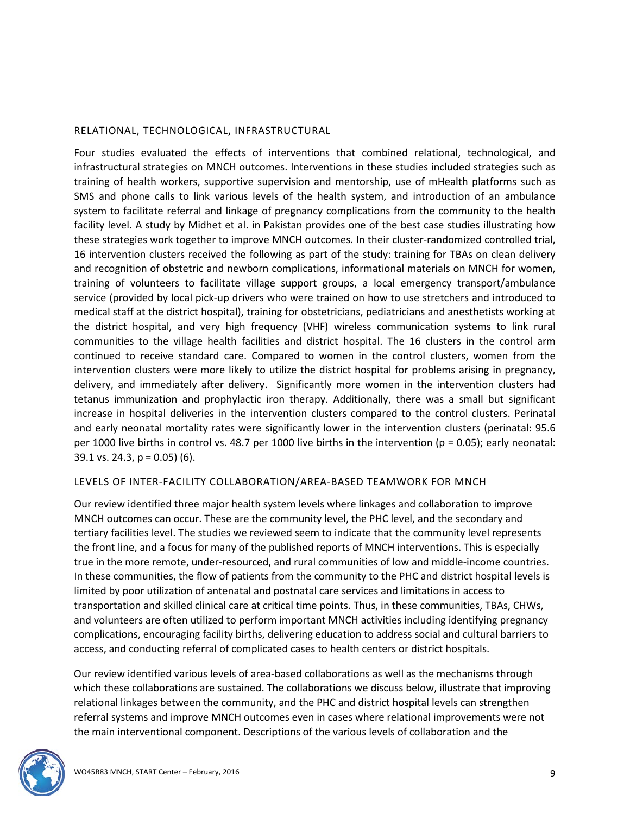### RELATIONAL, TECHNOLOGICAL, INFRASTRUCTURAL

Four studies evaluated the effects of interventions that combined relational, technological, and infrastructural strategies on MNCH outcomes. Interventions in these studies included strategies such as training of health workers, supportive supervision and mentorship, use of mHealth platforms such as SMS and phone calls to link various levels of the health system, and introduction of an ambulance system to facilitate referral and linkage of pregnancy complications from the community to the health facility level. A study by Midhet et al. in Pakistan provides one of the best case studies illustrating how these strategies work together to improve MNCH outcomes. In their cluster-randomized controlled trial, 16 intervention clusters received the following as part of the study: training for TBAs on clean delivery and recognition of obstetric and newborn complications, informational materials on MNCH for women, training of volunteers to facilitate village support groups, a local emergency transport/ambulance service (provided by local pick-up drivers who were trained on how to use stretchers and introduced to medical staff at the district hospital), training for obstetricians, pediatricians and anesthetists working at the district hospital, and very high frequency (VHF) wireless communication systems to link rural communities to the village health facilities and district hospital. The 16 clusters in the control arm continued to receive standard care. Compared to women in the control clusters, women from the intervention clusters were more likely to utilize the district hospital for problems arising in pregnancy, delivery, and immediately after delivery. Significantly more women in the intervention clusters had tetanus immunization and prophylactic iron therapy. Additionally, there was a small but significant increase in hospital deliveries in the intervention clusters compared to the control clusters. Perinatal and early neonatal mortality rates were significantly lower in the intervention clusters (perinatal: 95.6 per 1000 live births in control vs. 48.7 per 1000 live births in the intervention ( $p = 0.05$ ); early neonatal: 39.1 vs. 24.3,  $p = 0.05$ ) (6).

#### LEVELS OF INTER-FACILITY COLLABORATION/AREA-BASED TEAMWORK FOR MNCH

Our review identified three major health system levels where linkages and collaboration to improve MNCH outcomes can occur. These are the community level, the PHC level, and the secondary and tertiary facilities level. The studies we reviewed seem to indicate that the community level represents the front line, and a focus for many of the published reports of MNCH interventions. This is especially true in the more remote, under-resourced, and rural communities of low and middle-income countries. In these communities, the flow of patients from the community to the PHC and district hospital levels is limited by poor utilization of antenatal and postnatal care services and limitations in access to transportation and skilled clinical care at critical time points. Thus, in these communities, TBAs, CHWs, and volunteers are often utilized to perform important MNCH activities including identifying pregnancy complications, encouraging facility births, delivering education to address social and cultural barriers to access, and conducting referral of complicated cases to health centers or district hospitals.

Our review identified various levels of area-based collaborations as well as the mechanisms through which these collaborations are sustained. The collaborations we discuss below, illustrate that improving relational linkages between the community, and the PHC and district hospital levels can strengthen referral systems and improve MNCH outcomes even in cases where relational improvements were not the main interventional component. Descriptions of the various levels of collaboration and the

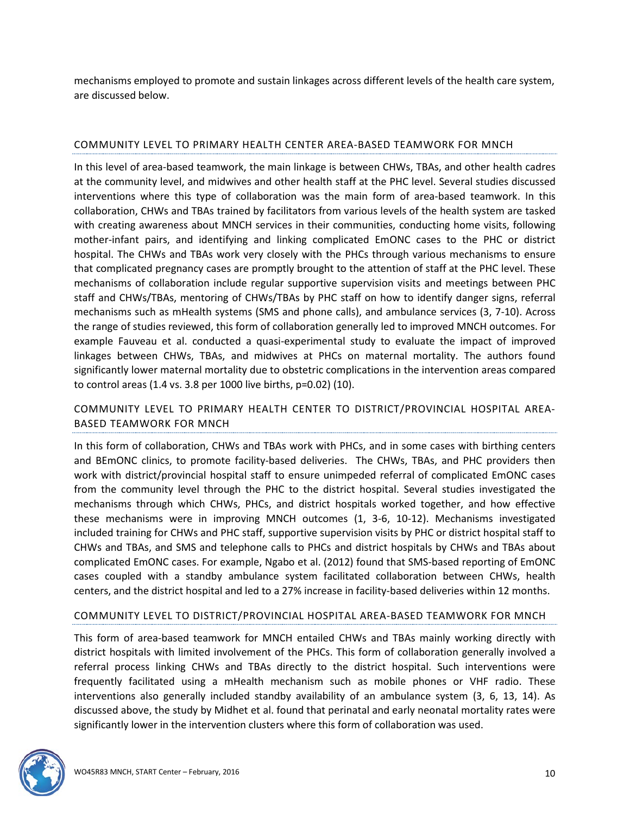mechanisms employed to promote and sustain linkages across different levels of the health care system, are discussed below.

### COMMUNITY LEVEL TO PRIMARY HEALTH CENTER AREA-BASED TEAMWORK FOR MNCH

In this level of area-based teamwork, the main linkage is between CHWs, TBAs, and other health cadres at the community level, and midwives and other health staff at the PHC level. Several studies discussed interventions where this type of collaboration was the main form of area-based teamwork. In this collaboration, CHWs and TBAs trained by facilitators from various levels of the health system are tasked with creating awareness about MNCH services in their communities, conducting home visits, following mother-infant pairs, and identifying and linking complicated EmONC cases to the PHC or district hospital. The CHWs and TBAs work very closely with the PHCs through various mechanisms to ensure that complicated pregnancy cases are promptly brought to the attention of staff at the PHC level. These mechanisms of collaboration include regular supportive supervision visits and meetings between PHC staff and CHWs/TBAs, mentoring of CHWs/TBAs by PHC staff on how to identify danger signs, referral mechanisms such as mHealth systems (SMS and phone calls), and ambulance services (3, 7-10). Across the range of studies reviewed, this form of collaboration generally led to improved MNCH outcomes. For example Fauveau et al. conducted a quasi-experimental study to evaluate the impact of improved linkages between CHWs, TBAs, and midwives at PHCs on maternal mortality. The authors found significantly lower maternal mortality due to obstetric complications in the intervention areas compared to control areas (1.4 vs. 3.8 per 1000 live births, p=0.02) (10).

# COMMUNITY LEVEL TO PRIMARY HEALTH CENTER TO DISTRICT/PROVINCIAL HOSPITAL AREA-BASED TEAMWORK FOR MNCH

In this form of collaboration, CHWs and TBAs work with PHCs, and in some cases with birthing centers and BEmONC clinics, to promote facility-based deliveries. The CHWs, TBAs, and PHC providers then work with district/provincial hospital staff to ensure unimpeded referral of complicated EmONC cases from the community level through the PHC to the district hospital. Several studies investigated the mechanisms through which CHWs, PHCs, and district hospitals worked together, and how effective these mechanisms were in improving MNCH outcomes (1, 3-6, 10-12). Mechanisms investigated included training for CHWs and PHC staff, supportive supervision visits by PHC or district hospital staff to CHWs and TBAs, and SMS and telephone calls to PHCs and district hospitals by CHWs and TBAs about complicated EmONC cases. For example, Ngabo et al. (2012) found that SMS-based reporting of EmONC cases coupled with a standby ambulance system facilitated collaboration between CHWs, health centers, and the district hospital and led to a 27% increase in facility-based deliveries within 12 months.

### COMMUNITY LEVEL TO DISTRICT/PROVINCIAL HOSPITAL AREA-BASED TEAMWORK FOR MNCH

This form of area-based teamwork for MNCH entailed CHWs and TBAs mainly working directly with district hospitals with limited involvement of the PHCs. This form of collaboration generally involved a referral process linking CHWs and TBAs directly to the district hospital. Such interventions were frequently facilitated using a mHealth mechanism such as mobile phones or VHF radio. These interventions also generally included standby availability of an ambulance system (3, 6, 13, 14). As discussed above, the study by Midhet et al. found that perinatal and early neonatal mortality rates were significantly lower in the intervention clusters where this form of collaboration was used.

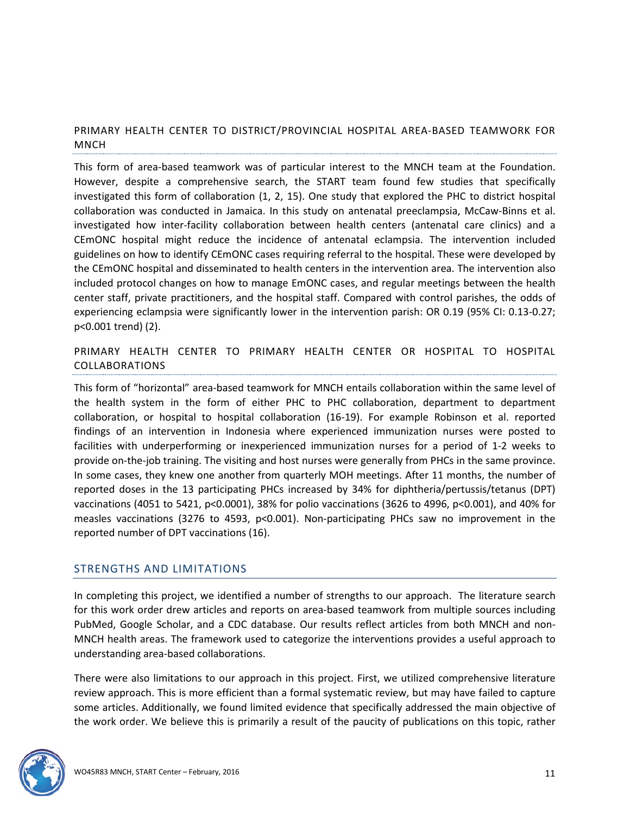# PRIMARY HEALTH CENTER TO DISTRICT/PROVINCIAL HOSPITAL AREA-BASED TEAMWORK FOR MNCH

This form of area-based teamwork was of particular interest to the MNCH team at the Foundation. However, despite a comprehensive search, the START team found few studies that specifically investigated this form of collaboration (1, 2, 15). One study that explored the PHC to district hospital collaboration was conducted in Jamaica. In this study on antenatal preeclampsia, McCaw-Binns et al. investigated how inter-facility collaboration between health centers (antenatal care clinics) and a CEmONC hospital might reduce the incidence of antenatal eclampsia. The intervention included guidelines on how to identify CEmONC cases requiring referral to the hospital. These were developed by the CEmONC hospital and disseminated to health centers in the intervention area. The intervention also included protocol changes on how to manage EmONC cases, and regular meetings between the health center staff, private practitioners, and the hospital staff. Compared with control parishes, the odds of experiencing eclampsia were significantly lower in the intervention parish: OR 0.19 (95% CI: 0.13-0.27; p<0.001 trend) (2).

PRIMARY HEALTH CENTER TO PRIMARY HEALTH CENTER OR HOSPITAL TO HOSPITAL COLLABORATIONS

This form of "horizontal" area-based teamwork for MNCH entails collaboration within the same level of the health system in the form of either PHC to PHC collaboration, department to department collaboration, or hospital to hospital collaboration (16-19). For example Robinson et al. reported findings of an intervention in Indonesia where experienced immunization nurses were posted to facilities with underperforming or inexperienced immunization nurses for a period of 1-2 weeks to provide on-the-job training. The visiting and host nurses were generally from PHCs in the same province. In some cases, they knew one another from quarterly MOH meetings. After 11 months, the number of reported doses in the 13 participating PHCs increased by 34% for diphtheria/pertussis/tetanus (DPT) vaccinations (4051 to 5421, p<0.0001), 38% for polio vaccinations (3626 to 4996, p<0.001), and 40% for measles vaccinations (3276 to 4593, p<0.001). Non-participating PHCs saw no improvement in the reported number of DPT vaccinations (16).

### <span id="page-10-0"></span>STRENGTHS AND LIMITATIONS

In completing this project, we identified a number of strengths to our approach. The literature search for this work order drew articles and reports on area-based teamwork from multiple sources including PubMed, Google Scholar, and a CDC database. Our results reflect articles from both MNCH and non-MNCH health areas. The framework used to categorize the interventions provides a useful approach to understanding area-based collaborations.

There were also limitations to our approach in this project. First, we utilized comprehensive literature review approach. This is more efficient than a formal systematic review, but may have failed to capture some articles. Additionally, we found limited evidence that specifically addressed the main objective of the work order. We believe this is primarily a result of the paucity of publications on this topic, rather

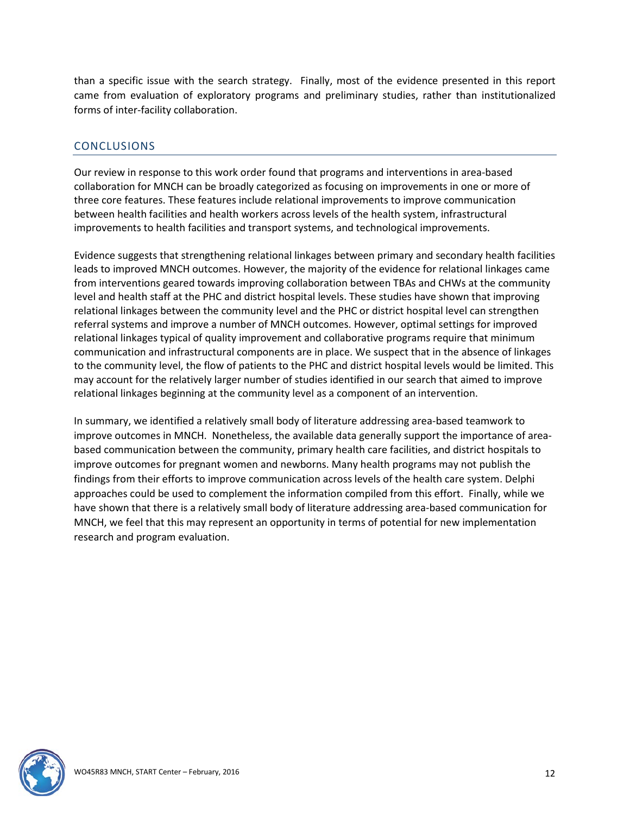than a specific issue with the search strategy. Finally, most of the evidence presented in this report came from evaluation of exploratory programs and preliminary studies, rather than institutionalized forms of inter-facility collaboration.

# <span id="page-11-0"></span>**CONCLUSIONS**

Our review in response to this work order found that programs and interventions in area-based collaboration for MNCH can be broadly categorized as focusing on improvements in one or more of three core features. These features include relational improvements to improve communication between health facilities and health workers across levels of the health system, infrastructural improvements to health facilities and transport systems, and technological improvements.

Evidence suggests that strengthening relational linkages between primary and secondary health facilities leads to improved MNCH outcomes. However, the majority of the evidence for relational linkages came from interventions geared towards improving collaboration between TBAs and CHWs at the community level and health staff at the PHC and district hospital levels. These studies have shown that improving relational linkages between the community level and the PHC or district hospital level can strengthen referral systems and improve a number of MNCH outcomes. However, optimal settings for improved relational linkages typical of quality improvement and collaborative programs require that minimum communication and infrastructural components are in place. We suspect that in the absence of linkages to the community level, the flow of patients to the PHC and district hospital levels would be limited. This may account for the relatively larger number of studies identified in our search that aimed to improve relational linkages beginning at the community level as a component of an intervention.

In summary, we identified a relatively small body of literature addressing area-based teamwork to improve outcomes in MNCH. Nonetheless, the available data generally support the importance of areabased communication between the community, primary health care facilities, and district hospitals to improve outcomes for pregnant women and newborns. Many health programs may not publish the findings from their efforts to improve communication across levels of the health care system. Delphi approaches could be used to complement the information compiled from this effort. Finally, while we have shown that there is a relatively small body of literature addressing area-based communication for MNCH, we feel that this may represent an opportunity in terms of potential for new implementation research and program evaluation.

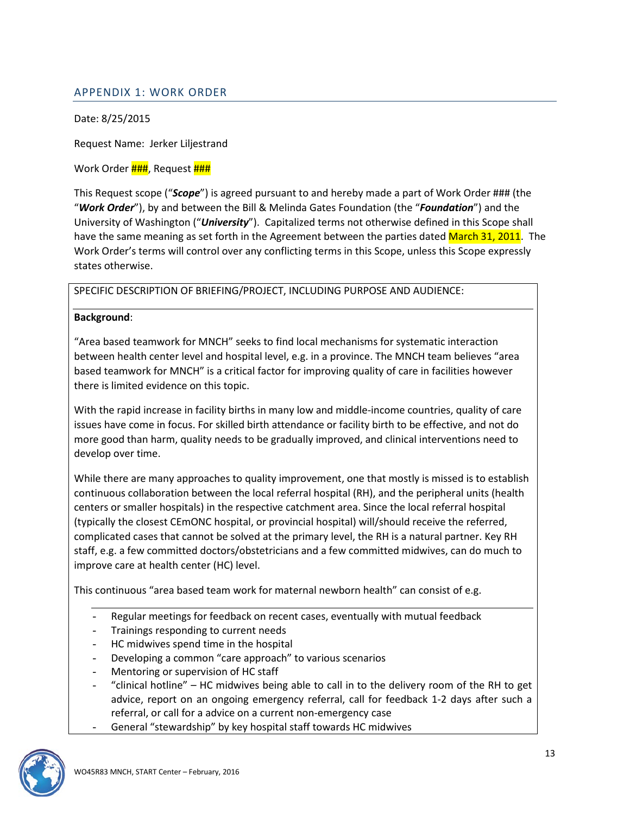# <span id="page-12-0"></span>APPENDIX 1: WORK ORDER

Date: 8/25/2015

Request Name: Jerker Liljestrand

#### Work Order **###**, Request **###**

This Request scope ("*Scope*") is agreed pursuant to and hereby made a part of Work Order ### (the "*Work Order*"), by and between the Bill & Melinda Gates Foundation (the "*Foundation*") and the University of Washington ("*University*"). Capitalized terms not otherwise defined in this Scope shall have the same meaning as set forth in the Agreement between the parties dated March 31, 2011. The Work Order's terms will control over any conflicting terms in this Scope, unless this Scope expressly states otherwise.

SPECIFIC DESCRIPTION OF BRIEFING/PROJECT, INCLUDING PURPOSE AND AUDIENCE:

#### **Background**:

"Area based teamwork for MNCH" seeks to find local mechanisms for systematic interaction between health center level and hospital level, e.g. in a province. The MNCH team believes "area based teamwork for MNCH" is a critical factor for improving quality of care in facilities however there is limited evidence on this topic.

With the rapid increase in facility births in many low and middle-income countries, quality of care issues have come in focus. For skilled birth attendance or facility birth to be effective, and not do more good than harm, quality needs to be gradually improved, and clinical interventions need to develop over time.

While there are many approaches to quality improvement, one that mostly is missed is to establish continuous collaboration between the local referral hospital (RH), and the peripheral units (health centers or smaller hospitals) in the respective catchment area. Since the local referral hospital (typically the closest CEmONC hospital, or provincial hospital) will/should receive the referred, complicated cases that cannot be solved at the primary level, the RH is a natural partner. Key RH staff, e.g. a few committed doctors/obstetricians and a few committed midwives, can do much to improve care at health center (HC) level.

This continuous "area based team work for maternal newborn health" can consist of e.g.

- Regular meetings for feedback on recent cases, eventually with mutual feedback
- Trainings responding to current needs
- HC midwives spend time in the hospital
- Developing a common "care approach" to various scenarios
- Mentoring or supervision of HC staff
- "clinical hotline" HC midwives being able to call in to the delivery room of the RH to get advice, report on an ongoing emergency referral, call for feedback 1-2 days after such a referral, or call for a advice on a current non-emergency case
- General "stewardship" by key hospital staff towards HC midwives

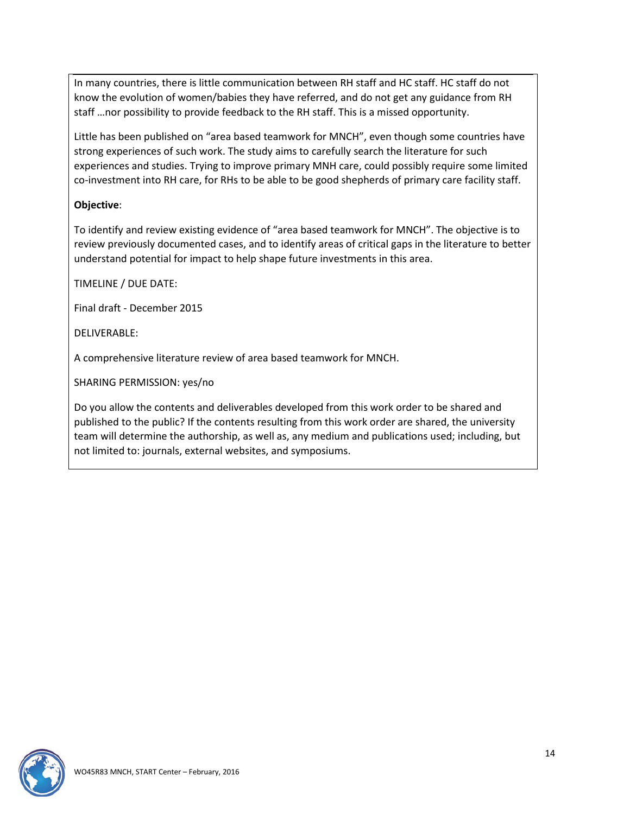In many countries, there is little communication between RH staff and HC staff. HC staff do not know the evolution of women/babies they have referred, and do not get any guidance from RH staff …nor possibility to provide feedback to the RH staff. This is a missed opportunity.

Little has been published on "area based teamwork for MNCH", even though some countries have strong experiences of such work. The study aims to carefully search the literature for such experiences and studies. Trying to improve primary MNH care, could possibly require some limited co-investment into RH care, for RHs to be able to be good shepherds of primary care facility staff.

### **Objective**:

To identify and review existing evidence of "area based teamwork for MNCH". The objective is to review previously documented cases, and to identify areas of critical gaps in the literature to better understand potential for impact to help shape future investments in this area.

TIMELINE / DUE DATE:

Final draft - December 2015

DELIVERABLE:

A comprehensive literature review of area based teamwork for MNCH.

SHARING PERMISSION: yes/no

Do you allow the contents and deliverables developed from this work order to be shared and published to the public? If the contents resulting from this work order are shared, the university team will determine the authorship, as well as, any medium and publications used; including, but not limited to: journals, external websites, and symposiums.

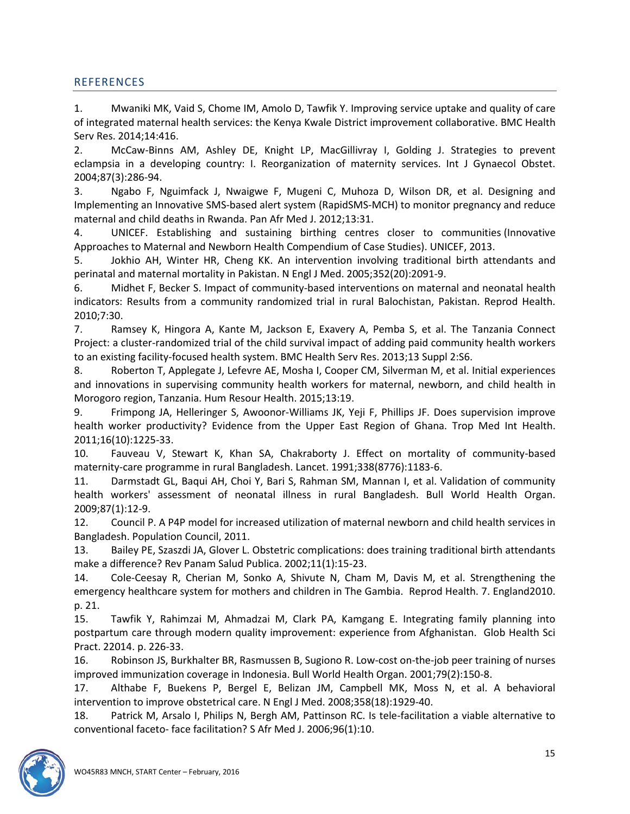# <span id="page-14-0"></span>**REFERENCES**

1. Mwaniki MK, Vaid S, Chome IM, Amolo D, Tawfik Y. Improving service uptake and quality of care of integrated maternal health services: the Kenya Kwale District improvement collaborative. BMC Health Serv Res. 2014;14:416.

2. McCaw-Binns AM, Ashley DE, Knight LP, MacGillivray I, Golding J. Strategies to prevent eclampsia in a developing country: I. Reorganization of maternity services. Int J Gynaecol Obstet. 2004;87(3):286-94.

3. Ngabo F, Nguimfack J, Nwaigwe F, Mugeni C, Muhoza D, Wilson DR, et al. Designing and Implementing an Innovative SMS-based alert system (RapidSMS-MCH) to monitor pregnancy and reduce maternal and child deaths in Rwanda. Pan Afr Med J. 2012;13:31.

4. UNICEF. Establishing and sustaining birthing centres closer to communities (Innovative Approaches to Maternal and Newborn Health Compendium of Case Studies). UNICEF, 2013.

5. Jokhio AH, Winter HR, Cheng KK. An intervention involving traditional birth attendants and perinatal and maternal mortality in Pakistan. N Engl J Med. 2005;352(20):2091-9.

6. Midhet F, Becker S. Impact of community-based interventions on maternal and neonatal health indicators: Results from a community randomized trial in rural Balochistan, Pakistan. Reprod Health. 2010;7:30.

7. Ramsey K, Hingora A, Kante M, Jackson E, Exavery A, Pemba S, et al. The Tanzania Connect Project: a cluster-randomized trial of the child survival impact of adding paid community health workers to an existing facility-focused health system. BMC Health Serv Res. 2013;13 Suppl 2:S6.

8. Roberton T, Applegate J, Lefevre AE, Mosha I, Cooper CM, Silverman M, et al. Initial experiences and innovations in supervising community health workers for maternal, newborn, and child health in Morogoro region, Tanzania. Hum Resour Health. 2015;13:19.

9. Frimpong JA, Helleringer S, Awoonor-Williams JK, Yeji F, Phillips JF. Does supervision improve health worker productivity? Evidence from the Upper East Region of Ghana. Trop Med Int Health. 2011;16(10):1225-33.

10. Fauveau V, Stewart K, Khan SA, Chakraborty J. Effect on mortality of community-based maternity-care programme in rural Bangladesh. Lancet. 1991;338(8776):1183-6.

11. Darmstadt GL, Baqui AH, Choi Y, Bari S, Rahman SM, Mannan I, et al. Validation of community health workers' assessment of neonatal illness in rural Bangladesh. Bull World Health Organ. 2009;87(1):12-9.

12. Council P. A P4P model for increased utilization of maternal newborn and child health services in Bangladesh. Population Council, 2011.

13. Bailey PE, Szaszdi JA, Glover L. Obstetric complications: does training traditional birth attendants make a difference? Rev Panam Salud Publica. 2002;11(1):15-23.

14. Cole-Ceesay R, Cherian M, Sonko A, Shivute N, Cham M, Davis M, et al. Strengthening the emergency healthcare system for mothers and children in The Gambia. Reprod Health. 7. England2010. p. 21.

15. Tawfik Y, Rahimzai M, Ahmadzai M, Clark PA, Kamgang E. Integrating family planning into postpartum care through modern quality improvement: experience from Afghanistan. Glob Health Sci Pract. 22014. p. 226-33.

16. Robinson JS, Burkhalter BR, Rasmussen B, Sugiono R. Low-cost on-the-job peer training of nurses improved immunization coverage in Indonesia. Bull World Health Organ. 2001;79(2):150-8.

17. Althabe F, Buekens P, Bergel E, Belizan JM, Campbell MK, Moss N, et al. A behavioral intervention to improve obstetrical care. N Engl J Med. 2008;358(18):1929-40.

18. Patrick M, Arsalo I, Philips N, Bergh AM, Pattinson RC. Is tele-facilitation a viable alternative to conventional faceto- face facilitation? S Afr Med J. 2006;96(1):10.